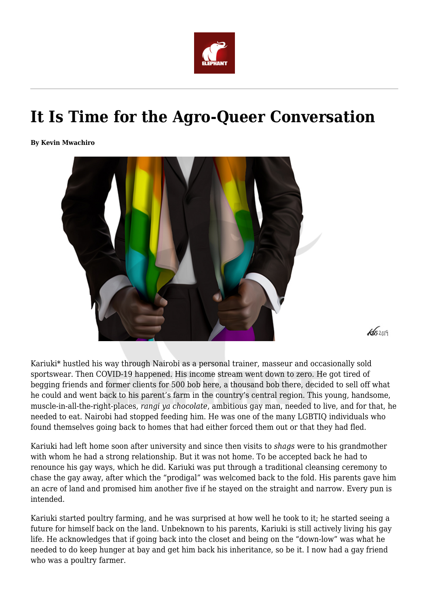

## **It Is Time for the Agro-Queer Conversation**

**By Kevin Mwachiro**



Kariuki\* hustled his way through Nairobi as a personal trainer, masseur and occasionally sold sportswear. Then COVID-19 happened. His income stream went down to zero. He got tired of begging friends and former clients for 500 bob here, a thousand bob there, decided to sell off what he could and went back to his parent's farm in the country's central region. This young, handsome, muscle-in-all-the-right-places, *rangi ya chocolate*, ambitious gay man, needed to live, and for that, he needed to eat. Nairobi had stopped feeding him. He was one of the many LGBTIQ individuals who found themselves going back to homes that had either forced them out or that they had fled.

 $45209$ 

Kariuki had left home soon after university and since then visits to *shags* were to his grandmother with whom he had a strong relationship. But it was not home. To be accepted back he had to renounce his gay ways, which he did. Kariuki was put through a traditional cleansing ceremony to chase the gay away, after which the "prodigal" was welcomed back to the fold. His parents gave him an acre of land and promised him another five if he stayed on the straight and narrow. Every pun is intended.

Kariuki started poultry farming, and he was surprised at how well he took to it; he started seeing a future for himself back on the land. Unbeknown to his parents, Kariuki is still actively living his gay life. He acknowledges that if going back into the closet and being on the "down-low" was what he needed to do keep hunger at bay and get him back his inheritance, so be it. I now had a gay friend who was a poultry farmer.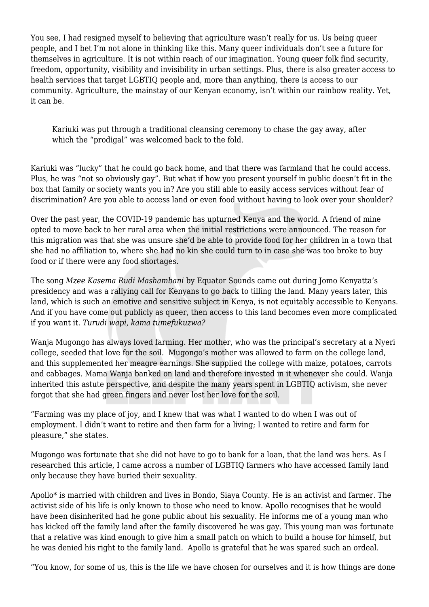You see. I had resigned myself to believing that agriculture wasn't really for us. Us being queer people, and I bet I'm not alone in thinking like this. Many queer individuals don't see a future for themselves in agriculture. It is not within reach of our imagination. Young queer folk find security, freedom, opportunity, visibility and invisibility in urban settings. Plus, there is also greater access to health services that target LGBTIQ people and, more than anything, there is access to our community. Agriculture, the mainstay of our Kenyan economy, isn't within our rainbow reality. Yet, it can be.

Kariuki was put through a traditional cleansing ceremony to chase the gay away, after which the "prodigal" was welcomed back to the fold.

Kariuki was "lucky" that he could go back home, and that there was farmland that he could access. Plus, he was "not so obviously gay". But what if how you present yourself in public doesn't fit in the box that family or society wants you in? Are you still able to easily access services without fear of discrimination? Are you able to access land or even food without having to look over your shoulder?

Over the past year, the COVID-19 pandemic has upturned Kenya and the world. A friend of mine opted to move back to her rural area when the initial restrictions were announced. The reason for this migration was that she was unsure she'd be able to provide food for her children in a town that she had no affiliation to, where she had no kin she could turn to in case she was too broke to buy food or if there were any food shortages.

The song *Mzee Kasema Rudi Mashambani* by Equator Sounds came out during Jomo Kenyatta's presidency and was a rallying call for Kenyans to go back to tilling the land. Many years later, this land, which is such an emotive and sensitive subject in Kenya, is not equitably accessible to Kenyans. And if you have come out publicly as queer, then access to this land becomes even more complicated if you want it. *Turudi wapi, kama tumefukuzwa?* 

Wanja Mugongo has always loved farming. Her mother, who was the principal's secretary at a Nyeri college, seeded that love for the soil. Mugongo's mother was allowed to farm on the college land, and this supplemented her meagre earnings. She supplied the college with maize, potatoes, carrots and cabbages. Mama Wanja banked on land and therefore invested in it whenever she could. Wanja inherited this astute perspective, and despite the many years spent in LGBTIQ activism, she never forgot that she had green fingers and never lost her love for the soil.

"Farming was my place of joy, and I knew that was what I wanted to do when I was out of employment. I didn't want to retire and then farm for a living; I wanted to retire and farm for pleasure," she states.

Mugongo was fortunate that she did not have to go to bank for a loan, that the land was hers. As I researched this article, I came across a number of LGBTIQ farmers who have accessed family land only because they have buried their sexuality.

Apollo\* is married with children and lives in Bondo, Siaya County. He is an activist and farmer. The activist side of his life is only known to those who need to know. Apollo recognises that he would have been disinherited had he gone public about his sexuality. He informs me of a young man who has kicked off the family land after the family discovered he was gay. This young man was fortunate that a relative was kind enough to give him a small patch on which to build a house for himself, but he was denied his right to the family land. Apollo is grateful that he was spared such an ordeal.

"You know, for some of us, this is the life we have chosen for ourselves and it is how things are done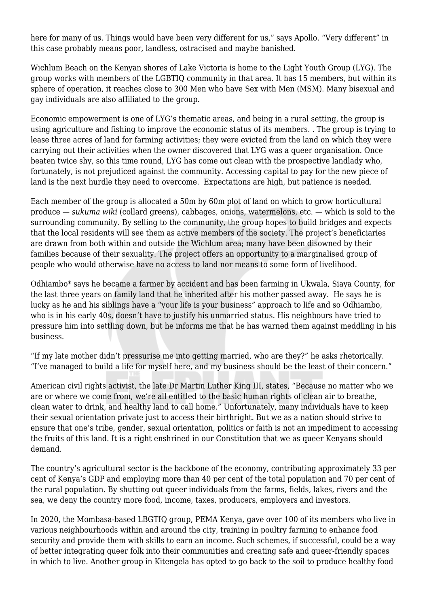here for many of us. Things would have been very different for us," says Apollo. "Very different" in this case probably means poor, landless, ostracised and maybe banished.

Wichlum Beach on the Kenyan shores of Lake Victoria is home to the Light Youth Group (LYG). The group works with members of the LGBTIQ community in that area. It has 15 members, but within its sphere of operation, it reaches close to 300 Men who have Sex with Men (MSM). Many bisexual and gay individuals are also affiliated to the group.

Economic empowerment is one of LYG's thematic areas, and being in a rural setting, the group is using agriculture and fishing to improve the economic status of its members. . The group is trying to lease three acres of land for farming activities; they were evicted from the land on which they were carrying out their activities when the owner discovered that LYG was a queer organisation. Once beaten twice shy, so this time round, LYG has come out clean with the prospective landlady who, fortunately, is not prejudiced against the community. Accessing capital to pay for the new piece of land is the next hurdle they need to overcome. Expectations are high, but patience is needed.

Each member of the group is allocated a 50m by 60m plot of land on which to grow horticultural produce — *sukuma wiki* (collard greens), cabbages, onions, watermelons, etc. — which is sold to the surrounding community. By selling to the community, the group hopes to build bridges and expects that the local residents will see them as active members of the society. The project's beneficiaries are drawn from both within and outside the Wichlum area; many have been disowned by their families because of their sexuality. The project offers an opportunity to a marginalised group of people who would otherwise have no access to land nor means to some form of livelihood.

Odhiambo\* says he became a farmer by accident and has been farming in Ukwala, Siaya County, for the last three years on family land that he inherited after his mother passed away. He says he is lucky as he and his siblings have a "your life is your business" approach to life and so Odhiambo, who is in his early 40s, doesn't have to justify his unmarried status. His neighbours have tried to pressure him into settling down, but he informs me that he has warned them against meddling in his business.

"If my late mother didn't pressurise me into getting married, who are they?" he asks rhetorically. "I've managed to build a life for myself here, and my business should be the least of their concern."

American civil rights activist, the late Dr Martin Luther King III, states, "Because no matter who we are or where we come from, we're all entitled to the basic human rights of clean air to breathe, clean water to drink, and healthy land to call home." Unfortunately, many individuals have to keep their sexual orientation private just to access their birthright. But we as a nation should strive to ensure that one's tribe, gender, sexual orientation, politics or faith is not an impediment to accessing the fruits of this land. It is a right enshrined in our Constitution that we as queer Kenyans should demand.

The country's agricultural sector is the backbone of the economy, contributing approximately 33 per cent of Kenya's GDP and employing more than 40 per cent of the total population and 70 per cent of the rural population. By shutting out queer individuals from the farms, fields, lakes, rivers and the sea, we deny the country more food, income, taxes, producers, employers and investors.

In 2020, the Mombasa-based LBGTIQ group, PEMA Kenya, gave over 100 of its members who live in various neighbourhoods within and around the city, training in poultry farming to enhance food security and provide them with skills to earn an income. Such schemes, if successful, could be a way of better integrating queer folk into their communities and creating safe and queer-friendly spaces in which to live. Another group in Kitengela has opted to go back to the soil to produce healthy food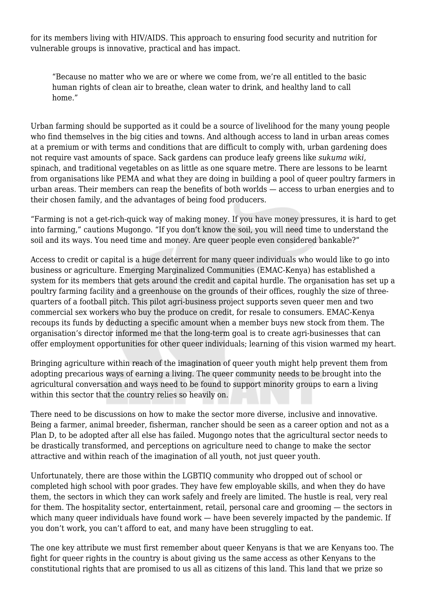for its members living with HIV/AIDS. This approach to ensuring food security and nutrition for vulnerable groups is innovative, practical and has impact.

"Because no matter who we are or where we come from, we're all entitled to the basic human rights of clean air to breathe, clean water to drink, and healthy land to call home."

Urban farming should be supported as it could be a source of livelihood for the many young people who find themselves in the big cities and towns. And although access to land in urban areas comes at a premium or with terms and conditions that are difficult to comply with, urban gardening does not require vast amounts of space. Sack gardens can produce leafy greens like *sukuma wiki*, spinach, and traditional vegetables on as little as one square metre. There are lessons to be learnt from organisations like PEMA and what they are doing in building a pool of queer poultry farmers in urban areas. Their members can reap the benefits of both worlds — access to urban energies and to their chosen family, and the advantages of being food producers.

"Farming is not a get-rich-quick way of making money. If you have money pressures, it is hard to get into farming," cautions Mugongo. "If you don't know the soil, you will need time to understand the soil and its ways. You need time and money. Are queer people even considered bankable?"

Access to credit or capital is a huge deterrent for many queer individuals who would like to go into business or agriculture. Emerging Marginalized Communities (EMAC-Kenya) has established a system for its members that gets around the credit and capital hurdle. The organisation has set up a poultry farming facility and a greenhouse on the grounds of their offices, roughly the size of threequarters of a football pitch. This pilot agri-business project supports seven queer men and two commercial sex workers who buy the produce on credit, for resale to consumers. EMAC-Kenya recoups its funds by deducting a specific amount when a member buys new stock from them. The organisation's director informed me that the long-term goal is to create agri-businesses that can offer employment opportunities for other queer individuals; learning of this vision warmed my heart.

Bringing agriculture within reach of the imagination of queer youth might help prevent them from adopting precarious ways of earning a living. The queer community needs to be brought into the agricultural conversation and ways need to be found to support minority groups to earn a living within this sector that the country relies so heavily on.

There need to be discussions on how to make the sector more diverse, inclusive and innovative. Being a farmer, animal breeder, fisherman, rancher should be seen as a career option and not as a Plan D, to be adopted after all else has failed. Mugongo notes that the agricultural sector needs to be drastically transformed, and perceptions on agriculture need to change to make the sector attractive and within reach of the imagination of all youth, not just queer youth.

Unfortunately, there are those within the LGBTIQ community who dropped out of school or completed high school with poor grades. They have few employable skills, and when they do have them, the sectors in which they can work safely and freely are limited. The hustle is real, very real for them. The hospitality sector, entertainment, retail, personal care and grooming — the sectors in which many queer individuals have found work — have been severely impacted by the pandemic. If you don't work, you can't afford to eat, and many have been struggling to eat.

The one key attribute we must first remember about queer Kenyans is that we are Kenyans too. The fight for queer rights in the country is about giving us the same access as other Kenyans to the constitutional rights that are promised to us all as citizens of this land. This land that we prize so